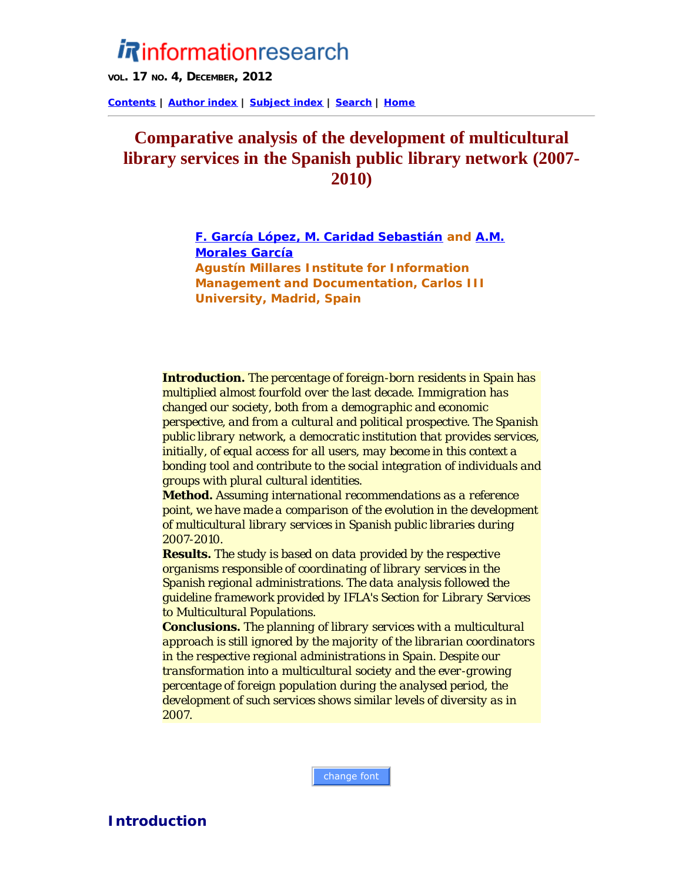# *Rinformationresearch*

**VOL. 17 NO. 4, DECEMBER, 2012**

**[Contents](http://informationr.net/ir/17-4/infres174.html) | [Author index](http://informationr.net/ir/iraindex.html) | [Subject index](http://informationr.net/ir/irsindex.html) | [Search](http://informationr.net/ir/search.html) | [Home](http://informationr.net/ir/index.html)**

## **Comparative analysis of the development of multicultural library services in the Spanish public library network (2007- 2010)**

*[F. García López, M. Caridad Sebastián](#page-9-0) and [A.M.](#page-9-0) [Morales García](#page-9-0) Agustín Millares Institute for Information Management and Documentation, Carlos III University, Madrid, Spain*

*Introduction. The percentage of foreign-born residents in Spain has multiplied almost fourfold over the last decade. Immigration has changed our society, both from a demographic and economic perspective, and from a cultural and political prospective. The Spanish public library network, a democratic institution that provides services, initially, of equal access for all users, may become in this context a bonding tool and contribute to the social integration of individuals and groups with plural cultural identities.*

*Method. Assuming international recommendations as a reference point, we have made a comparison of the evolution in the development of multicultural library services in Spanish public libraries during 2007-2010.*

*Results. The study is based on data provided by the respective organisms responsible of coordinating of library services in the Spanish regional administrations. The data analysis followed the guideline framework provided by IFLA's Section for Library Services to Multicultural Populations.*

*Conclusions. The planning of library services with a multicultural approach is still ignored by the majority of the librarian coordinators in the respective regional administrations in Spain. Despite our transformation into a multicultural society and the ever-growing percentage of foreign population during the analysed period, the development of such services shows similar levels of diversity as in 2007.*

change font

**Introduction**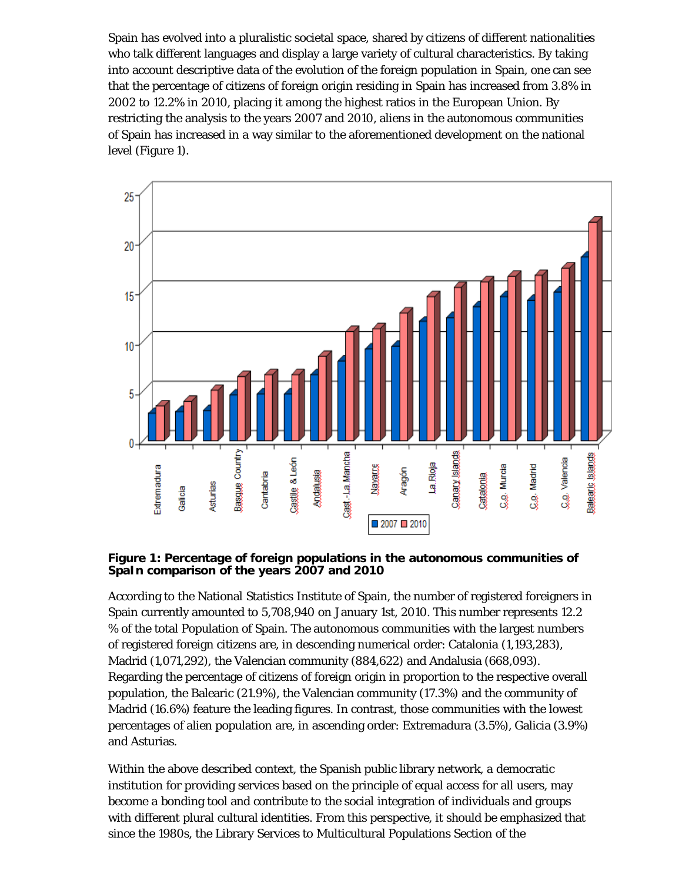Spain has evolved into a pluralistic societal space, shared by citizens of different nationalities who talk different languages and display a large variety of cultural characteristics. By taking into account descriptive data of the evolution of the foreign population in Spain, one can see that the percentage of citizens of foreign origin residing in Spain has increased from 3.8% in 2002 to 12.2% in 2010, placing it among the highest ratios in the European Union. By restricting the analysis to the years 2007 and 2010, aliens in the autonomous communities of Spain has increased in a way similar to the aforementioned development on the national level (Figure 1).



**Figure 1: Percentage of foreign populations in the autonomous communities of SpaIn comparison of the years 2007 and 2010**

According to the National Statistics Institute of Spain, the number of registered foreigners in Spain currently amounted to 5,708,940 on January 1st, 2010. This number represents 12.2 % of the total Population of Spain. The autonomous communities with the largest numbers of registered foreign citizens are, in descending numerical order: Catalonia (1,193,283), Madrid (1,071,292), the Valencian community (884,622) and Andalusia (668,093). Regarding the percentage of citizens of foreign origin in proportion to the respective overall population, the Balearic (21.9%), the Valencian community (17.3%) and the community of Madrid (16.6%) feature the leading figures. In contrast, those communities with the lowest percentages of alien population are, in ascending order: Extremadura (3.5%), Galicia (3.9%) and Asturias.

Within the above described context, the Spanish public library network, a democratic institution for providing services based on the principle of equal access for all users, may become a bonding tool and contribute to the social integration of individuals and groups with different plural cultural identities. From this perspective, it should be emphasized that since the 1980s, the Library Services to Multicultural Populations Section of the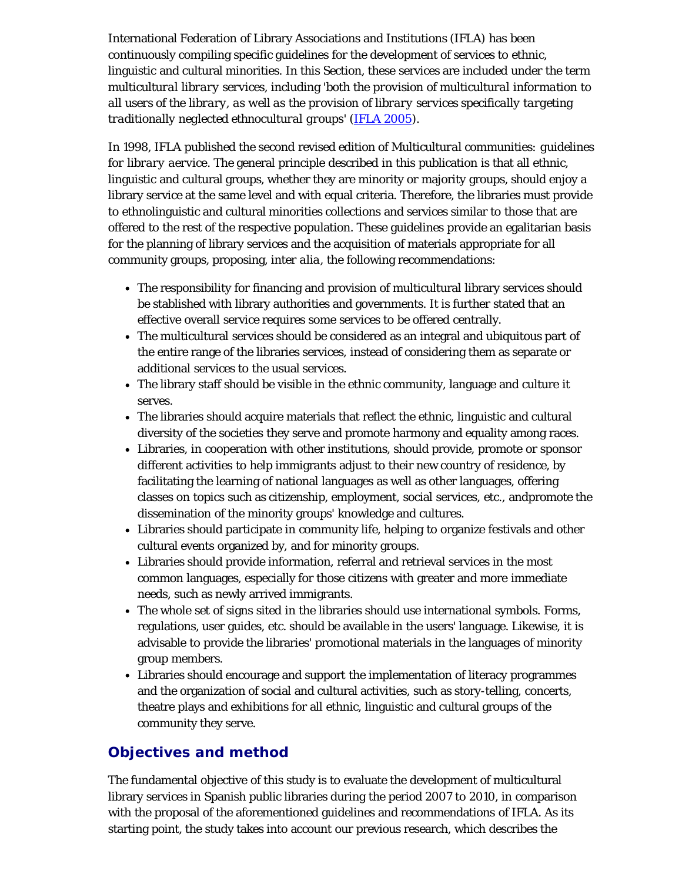International Federation of Library Associations and Institutions (IFLA) has been continuously compiling specific guidelines for the development of services to ethnic, linguistic and cultural minorities. In this Section, these services are included under the term *multicultural library services*, including '*both the provision of multicultural information to all users of the library, as well as the provision of library services specifically targeting traditionally neglected ethnocultural groups*' ([IFLA 2005\)](#page-11-0).

In 1998, IFLA published the second revised edition of *Multicultural communities: guidelines for library aervice*. The general principle described in this publication is that all ethnic, linguistic and cultural groups, whether they are minority or majority groups, should enjoy a library service at the same level and with equal criteria. Therefore, the libraries must provide to ethnolinguistic and cultural minorities collections and services similar to those that are offered to the rest of the respective population. These guidelines provide an egalitarian basis for the planning of library services and the acquisition of materials appropriate for all community groups, proposing, *inter alia*, the following recommendations:

- The responsibility for financing and provision of multicultural library services should be stablished with library authorities and governments. It is further stated that an effective overall service requires some services to be offered centrally.
- The multicultural services should be considered as an integral and ubiquitous part of the entire range of the libraries services, instead of considering them as separate or additional services to the usual services.
- The library staff should be visible in the ethnic community, language and culture it serves.
- The libraries should acquire materials that reflect the ethnic, linguistic and cultural diversity of the societies they serve and promote harmony and equality among races.
- Libraries, in cooperation with other institutions, should provide, promote or sponsor different activities to help immigrants adjust to their new country of residence, by facilitating the learning of national languages as well as other languages, offering classes on topics such as citizenship, employment, social services, etc., andpromote the dissemination of the minority groups' knowledge and cultures.
- Libraries should participate in community life, helping to organize festivals and other cultural events organized by, and for minority groups.
- Libraries should provide information, referral and retrieval services in the most common languages, especially for those citizens with greater and more immediate needs, such as newly arrived immigrants.
- The whole set of signs sited in the libraries should use international symbols. Forms, regulations, user guides, etc. should be available in the users' language. Likewise, it is advisable to provide the libraries' promotional materials in the languages of minority group members.
- Libraries should encourage and support the implementation of literacy programmes and the organization of social and cultural activities, such as story-telling, concerts, theatre plays and exhibitions for all ethnic, linguistic and cultural groups of the community they serve.

## **Objectives and method**

The fundamental objective of this study is to evaluate the development of multicultural library services in Spanish public libraries during the period 2007 to 2010, in comparison with the proposal of the aforementioned guidelines and recommendations of IFLA. As its starting point, the study takes into account our previous research, which describes the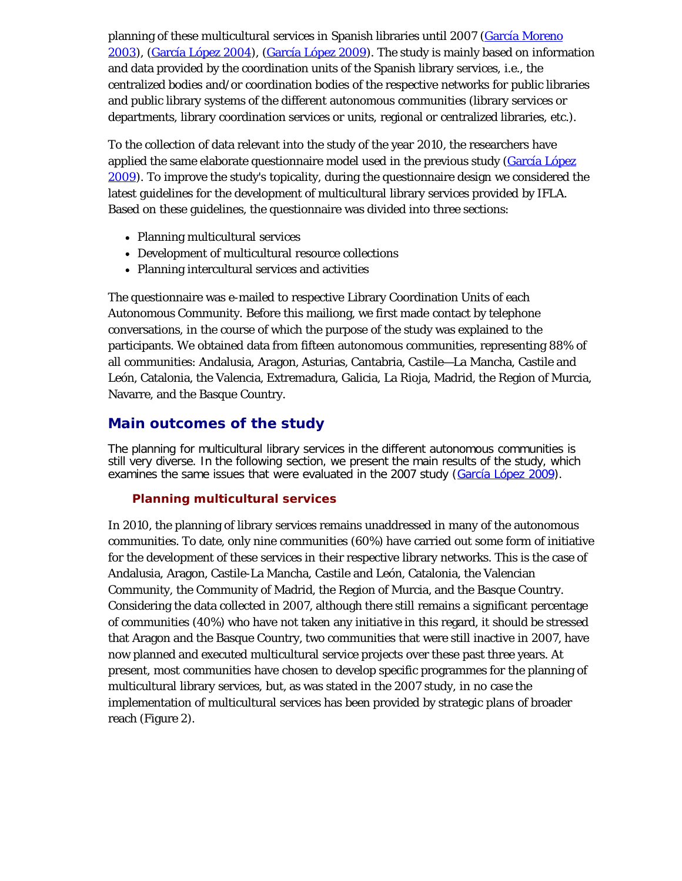planning of these multicultural services in Spanish libraries until 2007 [\(García Moreno](#page-11-0) [2003](#page-11-0)), ([García López 2004\)](#page-11-0), [\(García López 2009\)](#page-11-0). The study is mainly based on information and data provided by the coordination units of the Spanish library services, i.e., the centralized bodies and/or coordination bodies of the respective networks for public libraries and public library systems of the different autonomous communities (library services or departments, library coordination services or units, regional or centralized libraries, etc.).

To the collection of data relevant into the study of the year 2010, the researchers have applied the same elaborate questionnaire model used in the previous study [\(García López](#page-11-0) [2009](#page-11-0)). To improve the study's topicality, during the questionnaire design we considered the latest guidelines for the development of multicultural library services provided by IFLA. Based on these guidelines, the questionnaire was divided into three sections:

- Planning multicultural services
- Development of multicultural resource collections
- Planning intercultural services and activities

The questionnaire was e-mailed to respective Library Coordination Units of each Autonomous Community. Before this mailiong, we first made contact by telephone conversations, in the course of which the purpose of the study was explained to the participants. We obtained data from fifteen autonomous communities, representing 88% of all communities: Andalusia, Aragon, Asturias, Cantabria, Castile—La Mancha, Castile and León, Catalonia, the Valencia, Extremadura, Galicia, La Rioja, Madrid, the Region of Murcia, Navarre, and the Basque Country.

## **Main outcomes of the study**

The planning for multicultural library services in the different autonomous communities is still very diverse. In the following section, we present the main results of the study, which examines the same issues that were evaluated in the 2007 study (*García López 2009*).

### **Planning multicultural services**

In 2010, the planning of library services remains unaddressed in many of the autonomous communities. To date, only nine communities (60%) have carried out some form of initiative for the development of these services in their respective library networks. This is the case of Andalusia, Aragon, Castile-La Mancha, Castile and León, Catalonia, the Valencian Community, the Community of Madrid, the Region of Murcia, and the Basque Country. Considering the data collected in 2007, although there still remains a significant percentage of communities (40%) who have not taken any initiative in this regard, it should be stressed that Aragon and the Basque Country, two communities that were still inactive in 2007, have now planned and executed multicultural service projects over these past three years. At present, most communities have chosen to develop specific programmes for the planning of multicultural library services, but, as was stated in the 2007 study, in no case the implementation of multicultural services has been provided by strategic plans of broader reach (Figure 2).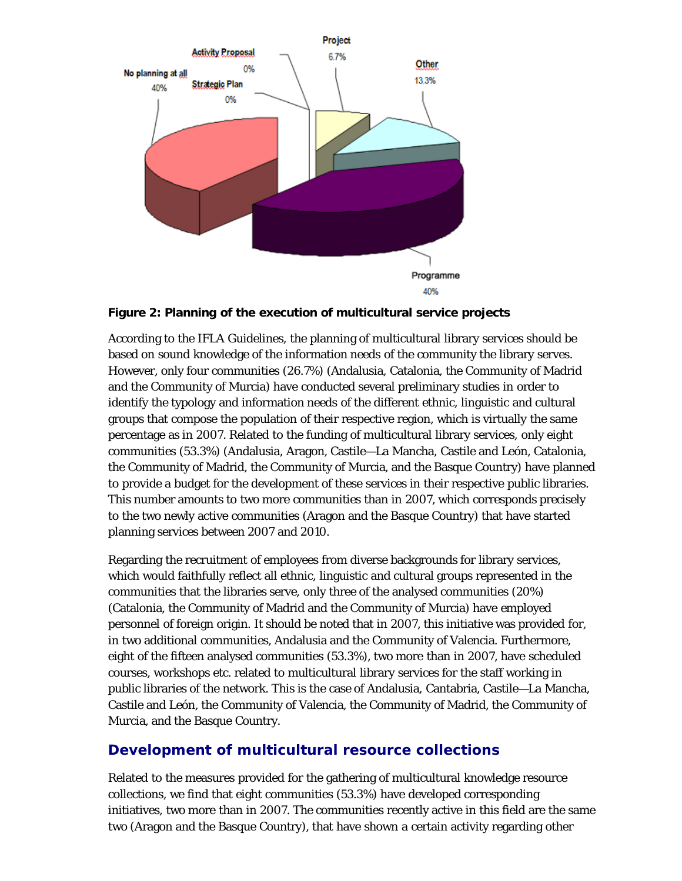

**Figure 2: Planning of the execution of multicultural service projects**

According to the IFLA Guidelines, the planning of multicultural library services should be based on sound knowledge of the information needs of the community the library serves. However, only four communities (26.7%) (Andalusia, Catalonia, the Community of Madrid and the Community of Murcia) have conducted several preliminary studies in order to identify the typology and information needs of the different ethnic, linguistic and cultural groups that compose the population of their respective region, which is virtually the same percentage as in 2007. Related to the funding of multicultural library services, only eight communities (53.3%) (Andalusia, Aragon, Castile—La Mancha, Castile and León, Catalonia, the Community of Madrid, the Community of Murcia, and the Basque Country) have planned to provide a budget for the development of these services in their respective public libraries. This number amounts to two more communities than in 2007, which corresponds precisely to the two newly active communities (Aragon and the Basque Country) that have started planning services between 2007 and 2010.

Regarding the recruitment of employees from diverse backgrounds for library services, which would faithfully reflect all ethnic, linguistic and cultural groups represented in the communities that the libraries serve, only three of the analysed communities (20%) (Catalonia, the Community of Madrid and the Community of Murcia) have employed personnel of foreign origin. It should be noted that in 2007, this initiative was provided for, in two additional communities, Andalusia and the Community of Valencia. Furthermore, eight of the fifteen analysed communities (53.3%), two more than in 2007, have scheduled courses, workshops etc. related to multicultural library services for the staff working in public libraries of the network. This is the case of Andalusia, Cantabria, Castile—La Mancha, Castile and León, the Community of Valencia, the Community of Madrid, the Community of Murcia, and the Basque Country.

## **Development of multicultural resource collections**

Related to the measures provided for the gathering of multicultural knowledge resource collections, we find that eight communities (53.3%) have developed corresponding initiatives, two more than in 2007. The communities recently active in this field are the same two (Aragon and the Basque Country), that have shown a certain activity regarding other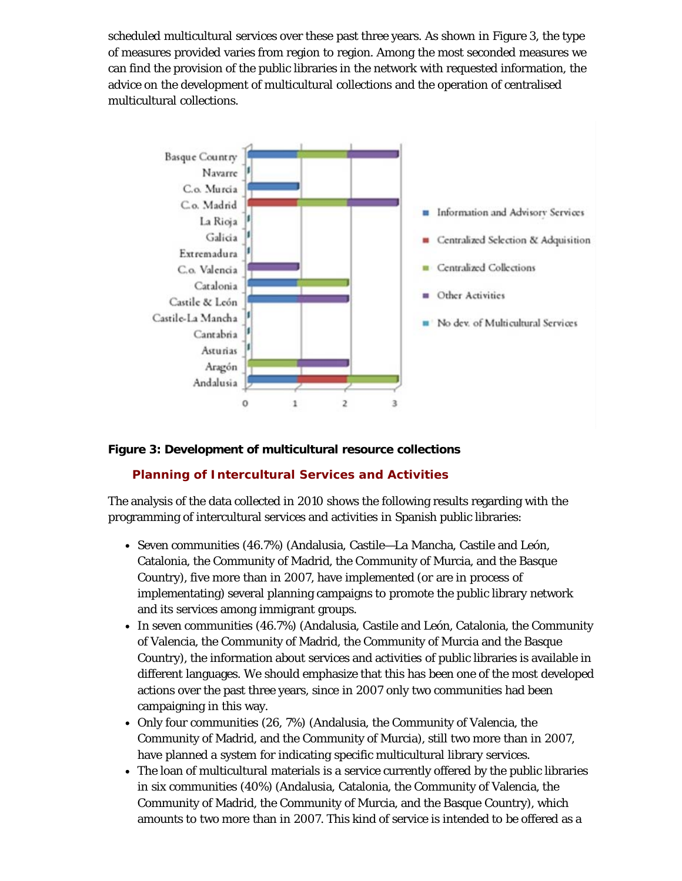scheduled multicultural services over these past three years. As shown in Figure 3, the type of measures provided varies from region to region. Among the most seconded measures we can find the provision of the public libraries in the network with requested information, the advice on the development of multicultural collections and the operation of centralised multicultural collections.



#### **Figure 3: Development of multicultural resource collections**

#### **Planning of Intercultural Services and Activities**

The analysis of the data collected in 2010 shows the following results regarding with the programming of intercultural services and activities in Spanish public libraries:

- Seven communities (46.7%) (Andalusia, Castile—La Mancha, Castile and León, Catalonia, the Community of Madrid, the Community of Murcia, and the Basque Country), five more than in 2007, have implemented (or are in process of implementating) several planning campaigns to promote the public library network and its services among immigrant groups.
- In seven communities (46.7%) (Andalusia, Castile and León, Catalonia, the Community of Valencia, the Community of Madrid, the Community of Murcia and the Basque Country), the information about services and activities of public libraries is available in different languages. We should emphasize that this has been one of the most developed actions over the past three years, since in 2007 only two communities had been campaigning in this way.
- Only four communities (26, 7%) (Andalusia, the Community of Valencia, the Community of Madrid, and the Community of Murcia), still two more than in 2007, have planned a system for indicating specific multicultural library services.
- The loan of multicultural materials is a service currently offered by the public libraries in six communities (40%) (Andalusia, Catalonia, the Community of Valencia, the Community of Madrid, the Community of Murcia, and the Basque Country), which amounts to two more than in 2007. This kind of service is intended to be offered as a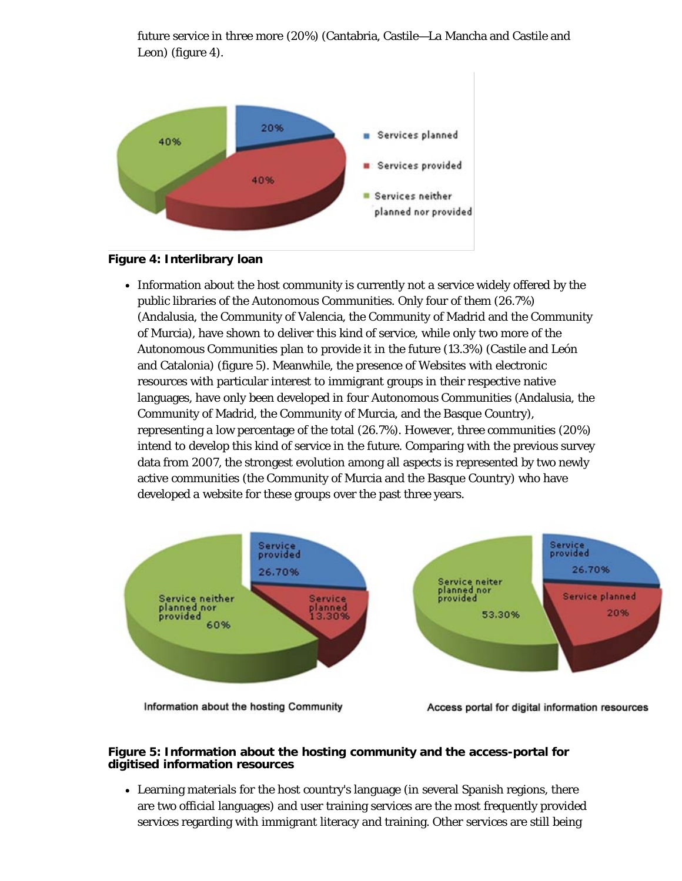

future service in three more (20%) (Cantabria, Castile—La Mancha and Castile and Leon) (figure 4).

#### **Figure 4: Interlibrary loan**

Information about the host community is currently not a service widely offered by the public libraries of the Autonomous Communities. Only four of them (26.7%) (Andalusia, the Community of Valencia, the Community of Madrid and the Community of Murcia), have shown to deliver this kind of service, while only two more of the Autonomous Communities plan to provide it in the future (13.3%) (Castile and León and Catalonia) (figure 5). Meanwhile, the presence of Websites with electronic resources with particular interest to immigrant groups in their respective native languages, have only been developed in four Autonomous Communities (Andalusia, the Community of Madrid, the Community of Murcia, and the Basque Country), representing a low percentage of the total (26.7%). However, three communities (20%) intend to develop this kind of service in the future. Comparing with the previous survey data from 2007, the strongest evolution among all aspects is represented by two newly active communities (the Community of Murcia and the Basque Country) who have developed a website for these groups over the past three years.



Information about the hosting Community

Access portal for digital information resources

#### **Figure 5: Information about the hosting community and the access-portal for digitised information resources**

Learning materials for the host country's language (in several Spanish regions, there are two official languages) and user training services are the most frequently provided services regarding with immigrant literacy and training. Other services are still being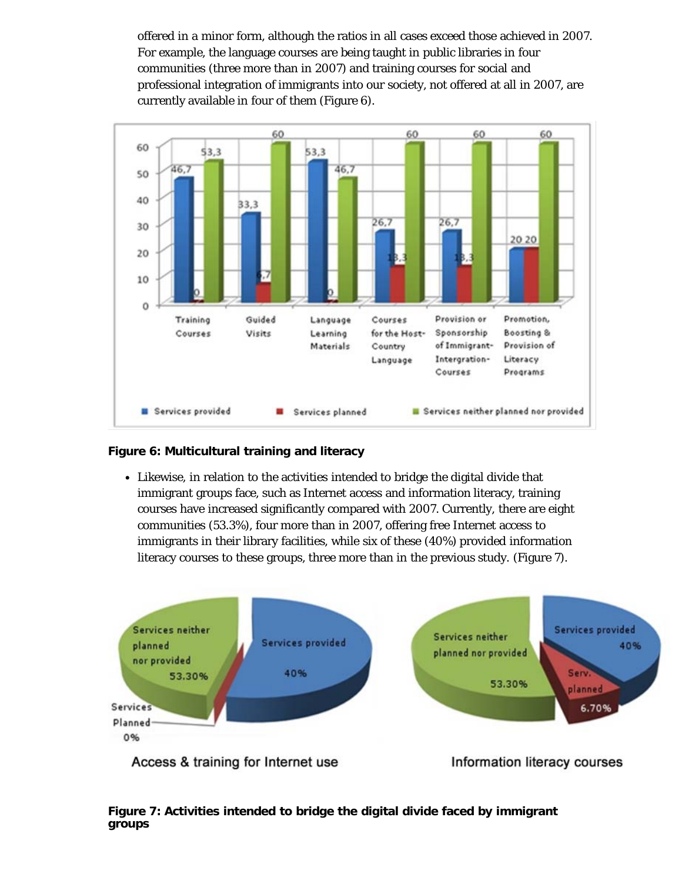offered in a minor form, although the ratios in all cases exceed those achieved in 2007. For example, the language courses are being taught in public libraries in four communities (three more than in 2007) and training courses for social and professional integration of immigrants into our society, not offered at all in 2007, are currently available in four of them (Figure 6).



#### **Figure 6: Multicultural training and literacy**

Likewise, in relation to the activities intended to bridge the digital divide that immigrant groups face, such as Internet access and information literacy, training courses have increased significantly compared with 2007. Currently, there are eight communities (53.3%), four more than in 2007, offering free Internet access to immigrants in their library facilities, while six of these (40%) provided information literacy courses to these groups, three more than in the previous study. (Figure 7).



Access & training for Internet use

Information literacy courses

**Figure 7: Activities intended to bridge the digital divide faced by immigrant groups**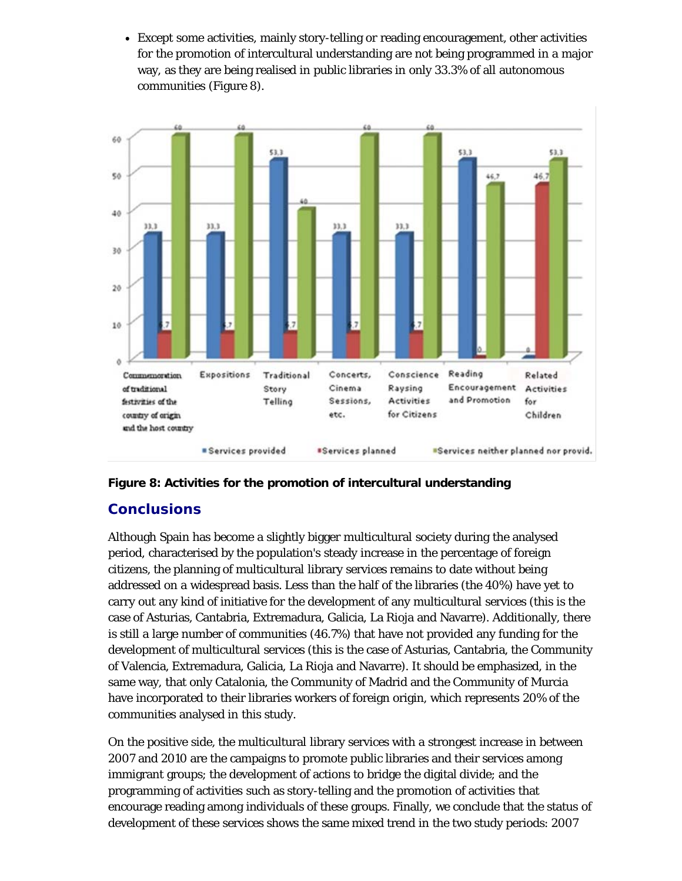Except some activities, mainly story-telling or reading encouragement, other activities for the promotion of intercultural understanding are not being programmed in a major way, as they are being realised in public libraries in only 33.3% of all autonomous communities (Figure 8).





## **Conclusions**

Although Spain has become a slightly bigger multicultural society during the analysed period, characterised by the population's steady increase in the percentage of foreign citizens, the planning of multicultural library services remains to date without being addressed on a widespread basis. Less than the half of the libraries (the 40%) have yet to carry out any kind of initiative for the development of any multicultural services (this is the case of Asturias, Cantabria, Extremadura, Galicia, La Rioja and Navarre). Additionally, there is still a large number of communities (46.7%) that have not provided any funding for the development of multicultural services (this is the case of Asturias, Cantabria, the Community of Valencia, Extremadura, Galicia, La Rioja and Navarre). It should be emphasized, in the same way, that only Catalonia, the Community of Madrid and the Community of Murcia have incorporated to their libraries workers of foreign origin, which represents 20% of the communities analysed in this study.

On the positive side, the multicultural library services with a strongest increase in between 2007 and 2010 are the campaigns to promote public libraries and their services among immigrant groups; the development of actions to bridge the digital divide; and the programming of activities such as story-telling and the promotion of activities that encourage reading among individuals of these groups. Finally, we conclude that the status of development of these services shows the same mixed trend in the two study periods: 2007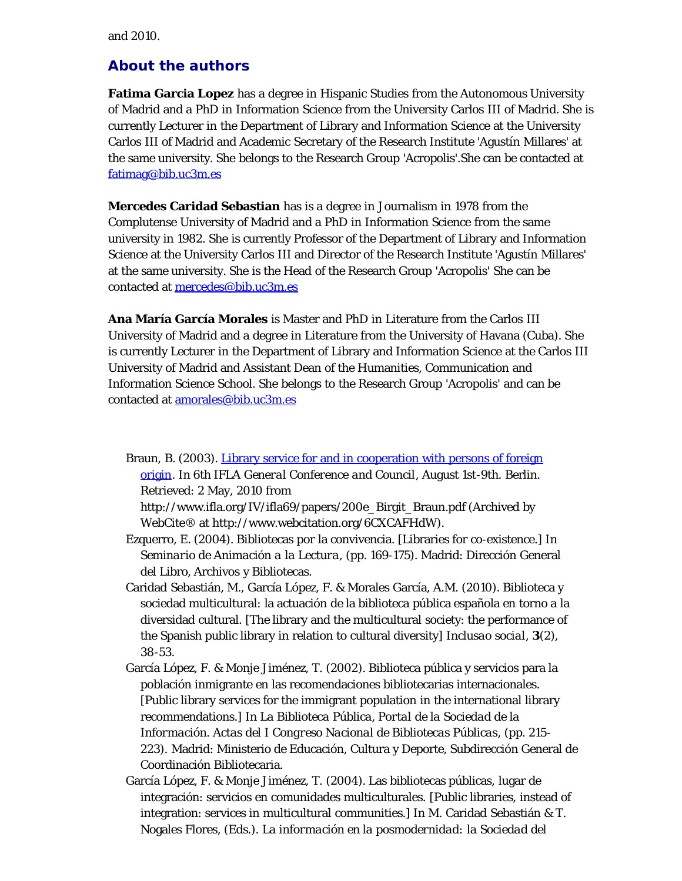and 2010.

## <span id="page-9-0"></span>**About the authors**

**Fatima Garcia Lopez** has a degree in Hispanic Studies from the Autonomous University of Madrid and a PhD in Information Science from the University Carlos III of Madrid. She is currently Lecturer in the Department of Library and Information Science at the University Carlos III of Madrid and Academic Secretary of the Research Institute 'Agustín Millares' at the same university. She belongs to the Research Group 'Acropolis'.She can be contacted at [fatimag@bib.uc3m.es](mailto:fatimag@bib.uc3m.es)

**Mercedes Caridad Sebastian** has is a degree in Journalism in 1978 from the Complutense University of Madrid and a PhD in Information Science from the same university in 1982. She is currently Professor of the Department of Library and Information Science at the University Carlos III and Director of the Research Institute 'Agustín Millares' at the same university. She is the Head of the Research Group 'Acropolis' She can be contacted at [mercedes@bib.uc3m.es](mailto:mercedes@bib.uc3m.es)

**Ana María García Morales** is Master and PhD in Literature from the Carlos III University of Madrid and a degree in Literature from the University of Havana (Cuba). She is currently Lecturer in the Department of Library and Information Science at the Carlos III University of Madrid and Assistant Dean of the Humanities, Communication and Information Science School. She belongs to the Research Group 'Acropolis' and can be contacted at [amorales@bib.uc3m.es](mailto:amorales@bib.uc3m.es)

Braun, B. (2003). [Library service for and in cooperation with persons of foreign](http://www.webcitation.org/6CXCAFHdW) [origin](http://www.webcitation.org/6CXCAFHdW). In *6th IFLA General Conference and Council*, August 1st-9th. Berlin. Retrieved: 2 May, 2010 from

http://www.ifla.org/IV/ifla69/papers/200e\_Birgit\_Braun.pdf (Archived by WebCite® at http://www.webcitation.org/6CXCAFHdW).

- Ezquerro, E. (2004). Bibliotecas por la convivencia. [Libraries for co-existence.] In *Seminario de Animación a la Lectura*, (pp. 169-175). Madrid: Dirección General del Libro, Archivos y Bibliotecas.
- Caridad Sebastián, M., García López, F. & Morales García, A.M. (2010). Biblioteca y sociedad multicultural: la actuación de la biblioteca pública española en torno a la diversidad cultural. [The library and the multicultural society: the performance of the Spanish public library in relation to cultural diversity] *Inclusao social*, **3**(2), 38-53.
- García López, F. & Monje Jiménez, T. (2002). Biblioteca pública y servicios para la población inmigrante en las recomendaciones bibliotecarias internacionales. [Public library services for the immigrant population in the international library recommendations.] In *La Biblioteca Pública, Portal de la Sociedad de la Información. Actas del I Congreso Nacional de Bibliotecas Públicas*, (pp. 215- 223). Madrid: Ministerio de Educación, Cultura y Deporte, Subdirección General de Coordinación Bibliotecaria.
- García López, F. & Monje Jiménez, T. (2004). Las bibliotecas públicas, lugar de integración: servicios en comunidades multiculturales. [Public libraries, instead of integration: services in multicultural communities.] In M. Caridad Sebastián & T. Nogales Flores, (Eds.). *La información en la posmodernidad: la Sociedad del*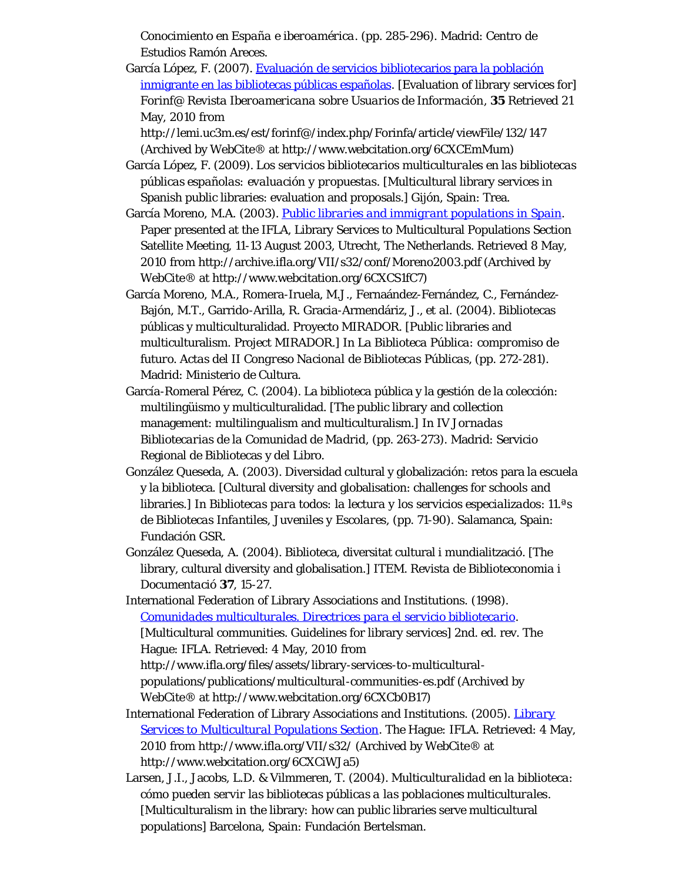*Conocimiento en España e iberoamérica*. (pp. 285-296). Madrid: Centro de Estudios Ramón Areces.

García López, F. (2007). [Evaluación de servicios bibliotecarios para la población](http://www.webcitation.org/6CXCEmMum) [inmigrante en las bibliotecas públicas españolas](http://www.webcitation.org/6CXCEmMum). [Evaluation of library services for] *Forinf@ Revista Iberoamericana sobre Usuarios de Información*, **35** Retrieved 21 May, 2010 from

http://lemi.uc3m.es/est/forinf@/index.php/Forinfa/article/viewFile/132/147 (Archived by WebCite® at http://www.webcitation.org/6CXCEmMum)

- García López, F. (2009). *Los servicios bibliotecarios multiculturales en las bibliotecas públicas españolas: evaluación y propuestas*. [Multicultural library services in Spanish public libraries: evaluation and proposals.] Gijón, Spain: Trea.
- García Moreno, M.A. (2003). *[Public libraries and immigrant populations in Spain](http://www.webcitation.org/6CXCS1fC7)*. Paper presented at the IFLA, Library Services to Multicultural Populations Section Satellite Meeting, 11-13 August 2003, Utrecht, The Netherlands. Retrieved 8 May, 2010 from http://archive.ifla.org/VII/s32/conf/Moreno2003.pdf (Archived by WebCite® at http://www.webcitation.org/6CXCS1fC7)
- García Moreno, M.A., Romera-Iruela, M.J., Fernaández-Fernández, C., Fernández-Bajón, M.T., Garrido-Arilla, R. Gracia-Armendáriz, J., *et al.* (2004). Bibliotecas públicas y multiculturalidad. Proyecto MIRADOR. [Public libraries and multiculturalism. Project MIRADOR.] In *La Biblioteca Pública: compromiso de futuro. Actas del II Congreso Nacional de Bibliotecas Públicas,* (pp. 272-281). Madrid: Ministerio de Cultura.
- García-Romeral Pérez, C. (2004). La biblioteca pública y la gestión de la colección: multilingüismo y multiculturalidad. [The public library and collection management: multilingualism and multiculturalism.] In *IV Jornadas Bibliotecarias de la Comunidad de Madrid*, (pp. 263-273). Madrid: Servicio Regional de Bibliotecas y del Libro.
- González Queseda, A. (2003). Diversidad cultural y globalización: retos para la escuela y la biblioteca. [Cultural diversity and globalisation: challenges for schools and libraries.] In *Bibliotecas para todos: la lectura y los servicios especializados*: *11.ªs de Bibliotecas Infantiles, Juveniles y Escolares*, (pp. 71-90). Salamanca, Spain: Fundación GSR.
- González Queseda, A. (2004). Biblioteca, diversitat cultural i mundialització. [The library, cultural diversity and globalisation.] *ITEM. Revista de Biblioteconomia i Documentació* **37**, 15-27.
- International Federation of Library Associations and Institutions. (1998). *[Comunidades multiculturales. Directrices para el servicio bibliotecario](http://www.webcitation.org/6CXCb0B17)*. [Multicultural communities. Guidelines for library services] 2nd. ed. rev. The Hague: IFLA. Retrieved: 4 May, 2010 from http://www.ifla.org/files/assets/library-services-to-multiculturalpopulations/publications/multicultural-communities-es.pdf (Archived by WebCite® at http://www.webcitation.org/6CXCb0B17)
- International Federation of Library Associations and Institutions. (2005). *[Library](http://www.webcitation.org/6CXCiWJa5) [Services to Multicultural Populations Section](http://www.webcitation.org/6CXCiWJa5)*. The Hague: IFLA. Retrieved: 4 May, 2010 from http://www.ifla.org/VII/s32/ (Archived by WebCite® at http://www.webcitation.org/6CXCiWJa5)
- Larsen, J.I., Jacobs, L.D. & Vilmmeren, T. (2004). *Multiculturalidad en la biblioteca: cómo pueden servir las bibliotecas públicas a las poblaciones multiculturales*. [Multiculturalism in the library: how can public libraries serve multicultural populations] Barcelona, Spain: Fundación Bertelsman.